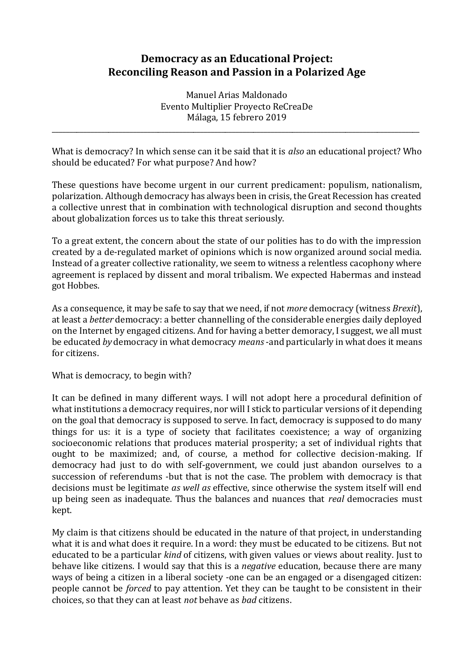## **Democracy as an Educational Project: Reconciling Reason and Passion in a Polarized Age**

Manuel Arias Maldonado Evento Multiplier Proyecto ReCreaDe Málaga, 15 febrero 2019

\_\_\_\_\_\_\_\_\_\_\_\_\_\_\_\_\_\_\_\_\_\_\_\_\_\_\_\_\_\_\_\_\_\_\_\_\_\_\_\_\_\_\_\_\_\_\_\_\_\_\_\_\_\_\_\_\_\_\_\_\_\_\_\_\_\_\_\_\_\_\_\_\_\_\_\_\_\_\_\_\_\_\_\_\_\_\_\_\_\_\_\_\_\_\_\_\_\_\_\_\_\_\_\_

What is democracy? In which sense can it be said that it is *also* an educational project? Who should be educated? For what purpose? And how?

These questions have become urgent in our current predicament: populism, nationalism, polarization. Although democracy has always been in crisis, the Great Recession has created a collective unrest that in combination with technological disruption and second thoughts about globalization forces us to take this threat seriously.

To a great extent, the concern about the state of our polities has to do with the impression created by a de-regulated market of opinions which is now organized around social media. Instead of a greater collective rationality, we seem to witness a relentless cacophony where agreement is replaced by dissent and moral tribalism. We expected Habermas and instead got Hobbes.

As a consequence, it may be safe to say that we need, if not *more* democracy (witness *Brexit*), at least a *better* democracy: a better channelling of the considerable energies daily deployed on the Internet by engaged citizens. And for having a better demoracy, I suggest, we all must be educated *by* democracy in what democracy *means*-and particularly in what does it means for citizens.

What is democracy, to begin with?

It can be defined in many different ways. I will not adopt here a procedural definition of what institutions a democracy requires, nor will I stick to particular versions of it depending on the goal that democracy is supposed to serve. In fact, democracy is supposed to do many things for us: it is a type of society that facilitates coexistence; a way of organizing socioeconomic relations that produces material prosperity; a set of individual rights that ought to be maximized; and, of course, a method for collective decision-making. If democracy had just to do with self-government, we could just abandon ourselves to a succession of referendums -but that is not the case. The problem with democracy is that decisions must be legitimate *as well as* effective, since otherwise the system itself will end up being seen as inadequate. Thus the balances and nuances that *real* democracies must kept.

My claim is that citizens should be educated in the nature of that project, in understanding what it is and what does it require. In a word: they must be educated to be citizens. But not educated to be a particular *kind* of citizens, with given values or views about reality. Just to behave like citizens. I would say that this is a *negative* education, because there are many ways of being a citizen in a liberal society -one can be an engaged or a disengaged citizen: people cannot be *forced* to pay attention. Yet they can be taught to be consistent in their choices, so that they can at least *not* behave as *bad* citizens.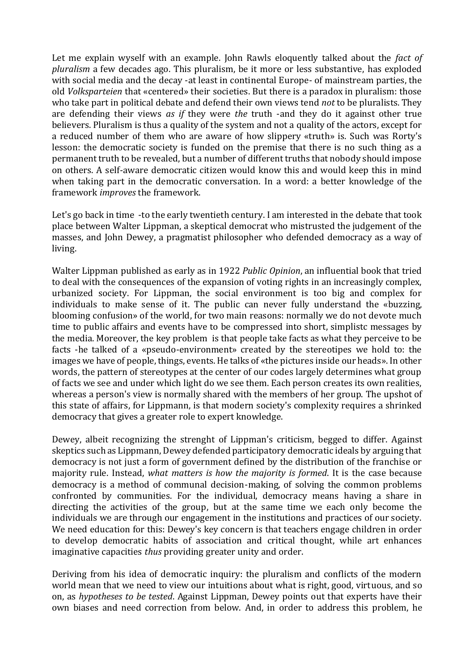Let me explain wyself with an example. John Rawls eloquently talked about the *fact of pluralism* a few decades ago. This pluralism, be it more or less substantive, has exploded with social media and the decay -at least in continental Europe- of mainstream parties, the old *Volksparteien* that «centered» their societies. But there is a paradox in pluralism: those who take part in political debate and defend their own views tend *not* to be pluralists. They are defending their views *as if* they were *the* truth -and they do it against other true believers. Pluralism is thus a quality of the system and not a quality of the actors, except for a reduced number of them who are aware of how slippery «truth» is. Such was Rorty's lesson: the democratic society is funded on the premise that there is no such thing as a permanent truth to be revealed, but a number of different truths that nobody should impose on others. A self-aware democratic citizen would know this and would keep this in mind when taking part in the democratic conversation. In a word: a better knowledge of the framework *improves* the framework.

Let's go back in time -to the early twentieth century. I am interested in the debate that took place between Walter Lippman, a skeptical democrat who mistrusted the judgement of the masses, and John Dewey, a pragmatist philosopher who defended democracy as a way of living.

Walter Lippman published as early as in 1922 *Public Opinion*, an influential book that tried to deal with the consequences of the expansion of voting rights in an increasingly complex, urbanized society. For Lippman, the social environment is too big and complex for individuals to make sense of it. The public can never fully understand the «buzzing, blooming confusion» of the world, for two main reasons: normally we do not devote much time to public affairs and events have to be compressed into short, simplistc messages by the media. Moreover, the key problem is that people take facts as what they perceive to be facts -he talked of a «pseudo-environment» created by the stereotipes we hold to: the images we have of people, things, events. He talks of «the pictures inside our heads». In other words, the pattern of stereotypes at the center of our codes largely determines what group of facts we see and under which light do we see them. Each person creates its own realities, whereas a person's view is normally shared with the members of her group. The upshot of this state of affairs, for Lippmann, is that modern society's complexity requires a shrinked democracy that gives a greater role to expert knowledge.

Dewey, albeit recognizing the strenght of Lippman's criticism, begged to differ. Against skeptics such as Lippmann, Dewey defended participatory democratic ideals by arguing that democracy is not just a form of government defined by the distribution of the franchise or majority rule. Instead, *what matters is how the majority is formed*. It is the case because democracy is a method of communal decision-making, of solving the common problems confronted by communities. For the individual, democracy means having a share in directing the activities of the group, but at the same time we each only become the individuals we are through our engagement in the institutions and practices of our society. We need education for this: Dewey's key concern is that teachers engage children in order to develop democratic habits of association and critical thought, while art enhances imaginative capacities *thus* providing greater unity and order.

Deriving from his idea of democratic inquiry: the pluralism and conflicts of the modern world mean that we need to view our intuitions about what is right, good, virtuous, and so on, as *hypotheses to be tested*. Against Lippman, Dewey points out that experts have their own biases and need correction from below. And, in order to address this problem, he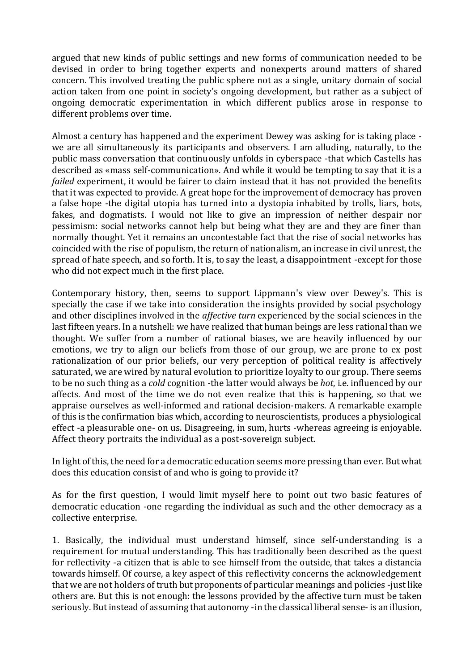argued that new kinds of public settings and new forms of communication needed to be devised in order to bring together experts and nonexperts around matters of shared concern. This involved treating the public sphere not as a single, unitary domain of social action taken from one point in society's ongoing development, but rather as a subject of ongoing democratic experimentation in which different publics arose in response to different problems over time.

Almost a century has happened and the experiment Dewey was asking for is taking place we are all simultaneously its participants and observers. I am alluding, naturally, to the public mass conversation that continuously unfolds in cyberspace -that which Castells has described as «mass self-communication». And while it would be tempting to say that it is a *failed* experiment, it would be fairer to claim instead that it has not provided the benefits that it was expected to provide. A great hope for the improvement of democracy has proven a false hope -the digital utopia has turned into a dystopia inhabited by trolls, liars, bots, fakes, and dogmatists. I would not like to give an impression of neither despair nor pessimism: social networks cannot help but being what they are and they are finer than normally thought. Yet it remains an uncontestable fact that the rise of social networks has coincided with the rise of populism, the return of nationalism, an increase in civil unrest, the spread of hate speech, and so forth. It is, to say the least, a disappointment -except for those who did not expect much in the first place.

Contemporary history, then, seems to support Lippmann's view over Dewey's. This is specially the case if we take into consideration the insights provided by social psychology and other disciplines involved in the *affective turn* experienced by the social sciences in the last fifteen years. In a nutshell: we have realized that human beings are less rational than we thought. We suffer from a number of rational biases, we are heavily influenced by our emotions, we try to align our beliefs from those of our group, we are prone to ex post rationalization of our prior beliefs, our very perception of political reality is affectively saturated, we are wired by natural evolution to prioritize loyalty to our group. There seems to be no such thing as a *cold* cognition -the latter would always be *hot*, i.e. influenced by our affects. And most of the time we do not even realize that this is happening, so that we appraise ourselves as well-informed and rational decision-makers. A remarkable example of this is the confirmation bias which, according to neuroscientists, produces a physiological effect -a pleasurable one- on us. Disagreeing, in sum, hurts -whereas agreeing is enjoyable. Affect theory portraits the individual as a post-sovereign subject.

In light of this, the need for a democratic education seems more pressing than ever. But what does this education consist of and who is going to provide it?

As for the first question, I would limit myself here to point out two basic features of democratic education -one regarding the individual as such and the other democracy as a collective enterprise.

1. Basically, the individual must understand himself, since self-understanding is a requirement for mutual understanding. This has traditionally been described as the quest for reflectivity -a citizen that is able to see himself from the outside, that takes a distancia towards himself. Of course, a key aspect of this reflectivity concerns the acknowledgement that we are not holders of truth but proponents of particular meanings and policies -just like others are. But this is not enough: the lessons provided by the affective turn must be taken seriously. But instead of assuming that autonomy -in the classical liberal sense- is an illusion,